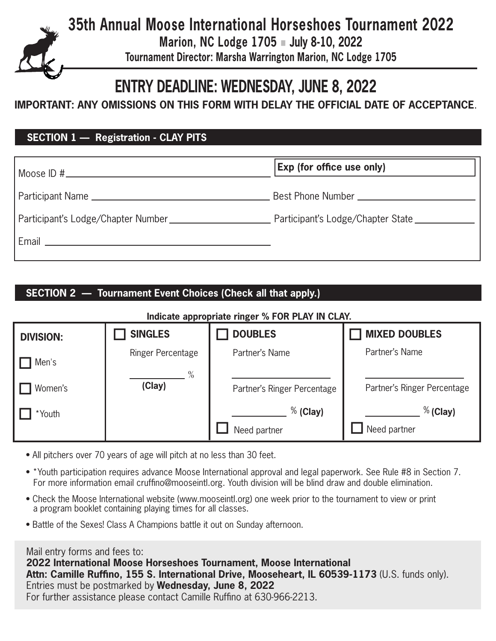**Marion, NC Lodge 1705** n **July 8-10, 2022**

**Tournament Director: Marsha Warrington Marion, NC Lodge 1705** 

# **ENTRY DEADLINE: WEDNESDAY, JUNE 8, 2022**

**IMPORTANT: ANY OMISSIONS ON THIS FORM WITH DELAY THE OFFICIAL DATE OF ACCEPTANCE**.

## **SECTION 1 — Registration - CLAY PITS**

|                                                        | <b>Exp (for office use only)</b>  |
|--------------------------------------------------------|-----------------------------------|
|                                                        |                                   |
| Participant's Lodge/Chapter Number                     | Participant's Lodge/Chapter State |
| Email<br><u> 1989 - Andrea Andrew Maria (h. 1989).</u> |                                   |

## **SECTION 2 — Tournament Event Choices (Check all that apply.)**

#### **Indicate appropriate ringer % FOR PLAY IN CLAY.**

| <b>DIVISION:</b> | <b>SINGLES</b>           | <b>DOUBLES</b>              | <b>MIXED DOUBLES</b>        |
|------------------|--------------------------|-----------------------------|-----------------------------|
| Men's            | <b>Ringer Percentage</b> | Partner's Name              | Partner's Name              |
| Women's          | $\%$<br>(Clay)           | Partner's Ringer Percentage | Partner's Ringer Percentage |
| *Youth           |                          | $%$ (Clay)                  | $%$ (Clay)                  |
|                  |                          | Need partner                | Need partner                |

- All pitchers over 70 years of age will pitch at no less than 30 feet.
- \*Youth participation requires advance Moose International approval and legal paperwork. See Rule #8 in Section 7. For more information email cruffino@mooseintl.org. Youth division will be blind draw and double elimination.
- Check the Moose International website (www.mooseintl.org) one week prior to the tournament to view or print a program booklet containing playing times for all classes.
- Battle of the Sexes! Class A Champions battle it out on Sunday afternoon.

#### Mail entry forms and fees to:

**2022 International Moose Horseshoes Tournament, Moose International Attn: Camille Ruffino, 155 S. International Drive, Mooseheart, IL 60539-1173** (U.S. funds only). Entries must be postmarked by **Wednesday, June 8, 2022**  For further assistance please contact Camille Ruffino at 630-966-2213.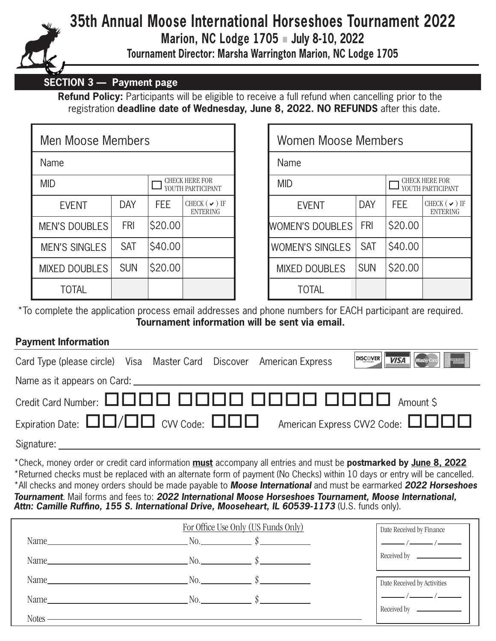

**Marion, NC Lodge 1705** n **July 8-10, 2022**

**Tournament Director: Marsha Warrington Marion, NC Lodge 1705** 

### **SECTION 3 — Payment page**

**Refund Policy:** Participants will be eligible to receive a full refund when cancelling prior to the registration **deadline date of Wednesday, June 8, 2022. NO REFUNDS** after this date.

| Men Moose Members    |            |         |                                            |  |  |
|----------------------|------------|---------|--------------------------------------------|--|--|
| Name                 |            |         |                                            |  |  |
| <b>MID</b>           |            |         | <b>CHECK HERE FOR</b><br>YOUTH PARTICIPANT |  |  |
| <b>EVENT</b>         | DAY        | FEE     | CHECK $(\vee)$ IF<br><b>ENTERING</b>       |  |  |
| <b>MEN'S DOUBLES</b> | FRI        | \$20.00 |                                            |  |  |
| <b>MEN'S SINGLES</b> | <b>SAT</b> | \$40.00 |                                            |  |  |
| <b>MIXED DOUBLES</b> | <b>SUN</b> | \$20.00 |                                            |  |  |
| TOTAL                |            |         |                                            |  |  |

| Moose Members) ا |            |            |                                            | Women Moose Members                               |            |            |                                      |
|------------------|------------|------------|--------------------------------------------|---------------------------------------------------|------------|------------|--------------------------------------|
| e                |            | Name       |                                            |                                                   |            |            |                                      |
|                  |            |            | <b>CHECK HERE FOR</b><br>YOUTH PARTICIPANT | CHECK HERE FOR<br><b>MID</b><br>YOUTH PARTICIPANT |            |            |                                      |
| <b>EVENT</b>     | <b>DAY</b> | <b>FEE</b> | CHECK ( $\vee$ ) IF<br><b>ENTERING</b>     | <b>EVENT</b>                                      | <b>DAY</b> | <b>FEE</b> | CHECK $(\vee)$ IF<br><b>ENTERING</b> |
| <b>S DOUBLES</b> | <b>FRI</b> | \$20.00    |                                            | <b>WOMEN'S DOUBLES</b>                            | <b>FRI</b> | \$20.00    |                                      |
| 'S SINGLES       | <b>SAT</b> | \$40.00    |                                            | <b>WOMEN'S SINGLES</b>                            | <b>SAT</b> | \$40.00    |                                      |
| <b>D DOUBLES</b> | <b>SUN</b> | \$20.00    |                                            | <b>MIXED DOUBLES</b>                              | <b>SUN</b> | \$20.00    |                                      |
| <b>TOTAL</b>     |            |            |                                            | <b>TOTAL</b>                                      |            |            |                                      |

\*To complete the application process email addresses and phone numbers for EACH participant are required. **Tournament information will be sent via email.**

### **Payment Information**

| Card Type (please circle) Visa Master Card Discover American Express                  |  |  |  |  | <b>DISC VERT WISA MasterCard</b>                                                                                                              |
|---------------------------------------------------------------------------------------|--|--|--|--|-----------------------------------------------------------------------------------------------------------------------------------------------|
|                                                                                       |  |  |  |  |                                                                                                                                               |
|                                                                                       |  |  |  |  |                                                                                                                                               |
|                                                                                       |  |  |  |  | Expiration Date: $\square\square/\square\square$ CVV Code: $\square\square\square$ American Express CVV2 Code: $\square\square\square\square$ |
| $\mathsf{C}^{\mathsf{r}}$ and $\mathsf{C}^{\mathsf{r}}$ and $\mathsf{C}^{\mathsf{r}}$ |  |  |  |  |                                                                                                                                               |

Signature:

\*Check, money order or credit card information **must** accompany all entries and must be **postmarked by June 8, 2022** \*Returned checks must be replaced with an alternate form of payment (No Checks) within 10 days or entry will be cancelled. \*All checks and money orders should be made payable to *Moose International* and must be earmarked *2022 Horseshoes Tournament*. Mail forms and fees to: *2022 International Moose Horseshoes Tournament, Moose International,*  Attn: Camille Ruffino, 155 S. International Drive, Mooseheart, IL 60539-1173 (U.S. funds only).

|                                                                                                                                                                                                                                | Date Received by Finance                                       |                                                                                                                                                                                                                                                                                                                                                                                                                                 |
|--------------------------------------------------------------------------------------------------------------------------------------------------------------------------------------------------------------------------------|----------------------------------------------------------------|---------------------------------------------------------------------------------------------------------------------------------------------------------------------------------------------------------------------------------------------------------------------------------------------------------------------------------------------------------------------------------------------------------------------------------|
|                                                                                                                                                                                                                                | Name $\qquad \qquad \mathbb{N}$ . $\qquad \qquad \mathbb{N}$   | $\frac{1}{\sqrt{1-\frac{1}{2}}}\frac{1}{\sqrt{1-\frac{1}{2}}}\frac{1}{\sqrt{1-\frac{1}{2}}}\frac{1}{\sqrt{1-\frac{1}{2}}}\frac{1}{\sqrt{1-\frac{1}{2}}}\frac{1}{\sqrt{1-\frac{1}{2}}}\frac{1}{\sqrt{1-\frac{1}{2}}}\frac{1}{\sqrt{1-\frac{1}{2}}}\frac{1}{\sqrt{1-\frac{1}{2}}}\frac{1}{\sqrt{1-\frac{1}{2}}}\frac{1}{\sqrt{1-\frac{1}{2}}}\frac{1}{\sqrt{1-\frac{1}{2}}}\frac{1}{\sqrt{1-\frac{1}{2}}}\frac{1}{\sqrt{1-\frac{$ |
|                                                                                                                                                                                                                                | Name $\qquad \qquad \mathbb{N}$ . $\qquad \qquad \mathbb{N}$ . | Received by                                                                                                                                                                                                                                                                                                                                                                                                                     |
|                                                                                                                                                                                                                                | Name $\qquad \qquad \mathbb{N}$ . $\qquad \qquad \mathbb{S}$   | Date Received by Activities                                                                                                                                                                                                                                                                                                                                                                                                     |
| Name was a series of the contract of the contract of the contract of the contract of the contract of the contract of the contract of the contract of the contract of the contract of the contract of the contract of the contr | No. $\qquad \qquad \mathbb{S}$                                 |                                                                                                                                                                                                                                                                                                                                                                                                                                 |
| <b>Notes</b>                                                                                                                                                                                                                   |                                                                |                                                                                                                                                                                                                                                                                                                                                                                                                                 |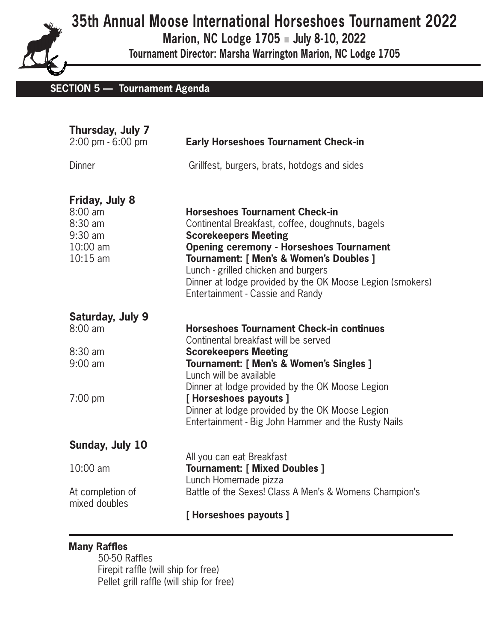**Marion, NC Lodge 1705** n **July 8-10, 2022**

**Tournament Director: Marsha Warrington Marion, NC Lodge 1705** 

# **SECTION 5 — Tournament Agenda**

| <b>Early Horseshoes Tournament Check-in</b>                                                                                                                                                                                                                                                                                                                    |
|----------------------------------------------------------------------------------------------------------------------------------------------------------------------------------------------------------------------------------------------------------------------------------------------------------------------------------------------------------------|
| Grillfest, burgers, brats, hotdogs and sides                                                                                                                                                                                                                                                                                                                   |
| <b>Horseshoes Tournament Check-in</b><br>Continental Breakfast, coffee, doughnuts, bagels<br><b>Scorekeepers Meeting</b><br><b>Opening ceremony - Horseshoes Tournament</b><br>Tournament: [ Men's & Women's Doubles ]<br>Lunch - grilled chicken and burgers<br>Dinner at lodge provided by the OK Moose Legion (smokers)<br>Entertainment - Cassie and Randy |
| <b>Horseshoes Tournament Check-in continues</b><br>Continental breakfast will be served                                                                                                                                                                                                                                                                        |
| <b>Scorekeepers Meeting</b><br>Tournament: [ Men's & Women's Singles ]<br>Lunch will be available<br>Dinner at lodge provided by the OK Moose Legion                                                                                                                                                                                                           |
| [Horseshoes payouts]<br>Dinner at lodge provided by the OK Moose Legion<br>Entertainment - Big John Hammer and the Rusty Nails                                                                                                                                                                                                                                 |
|                                                                                                                                                                                                                                                                                                                                                                |
| All you can eat Breakfast<br><b>Tournament: [ Mixed Doubles ]</b><br>Lunch Homemade pizza                                                                                                                                                                                                                                                                      |
| Battle of the Sexes! Class A Men's & Womens Champion's                                                                                                                                                                                                                                                                                                         |
| [Horseshoes payouts]                                                                                                                                                                                                                                                                                                                                           |
|                                                                                                                                                                                                                                                                                                                                                                |

### **Many Raffles**

 50-50 Raffles Firepit raffle (will ship for free) Pellet grill raffle (will ship for free)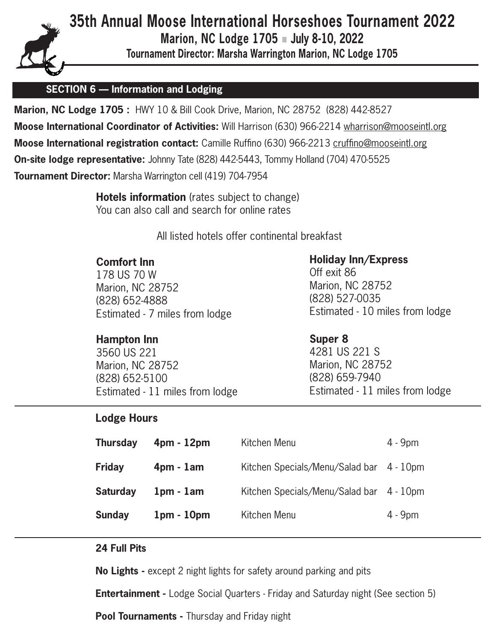

**Marion, NC Lodge 1705** n **July 8-10, 2022**

**Tournament Director: Marsha Warrington Marion, NC Lodge 1705** 

# **SECTION 6 — Information and Lodging**

**Marion, NC Lodge 1705 :** HWY 10 & Bill Cook Drive, Marion, NC 28752 (828) 442-8527 **Moose International Coordinator of Activities:** Will Harrison (630) 966-2214 wharrison@mooseintl.org **Moose International registration contact:** Camille Ruffino (630) 966-2213 cruffino@mooseintl.org **On-site lodge representative:** Johnny Tate (828) 442-5443, Tommy Holland (704) 470-5525 **Tournament Director:** Marsha Warrington cell (419) 704-7954

> **Hotels information** (rates subject to change) You can also call and search for online rates

> > All listed hotels offer continental breakfast

#### **Comfort Inn**

 178 US 70 W Marion, NC 28752 (828) 652-4888 Estimated - 7 miles from lodge

### **Hampton Inn**

 3560 US 221 Marion, NC 28752 (828) 652-5100 Estimated - 11 miles from lodge

### **Holiday Inn/Express**

 Off exit 86 Marion, NC 28752 (828) 527-0035 Estimated - 10 miles from lodge

#### **Super 8**

 4281 US 221 S Marion, NC 28752 (828) 659-7940 Estimated - 11 miles from lodge

### **Lodge Hours**

| <b>Thursday</b> | $4pm - 12pm$ | Kitchen Menu                             | $4 - 9pm$ |
|-----------------|--------------|------------------------------------------|-----------|
| <b>Friday</b>   | $4pm - 1am$  | Kitchen Specials/Menu/Salad bar 4 - 10pm |           |
| <b>Saturday</b> | $1pm - 1am$  | Kitchen Specials/Menu/Salad bar 4 - 10pm |           |
| <b>Sunday</b>   | $1pm - 10pm$ | Kitchen Menu                             | $4 - 9pm$ |

#### **24 Full Pits**

**No Lights -** except 2 night lights for safety around parking and pits

**Entertainment -** Lodge Social Quarters - Friday and Saturday night (See section 5)

**Pool Tournaments -** Thursday and Friday night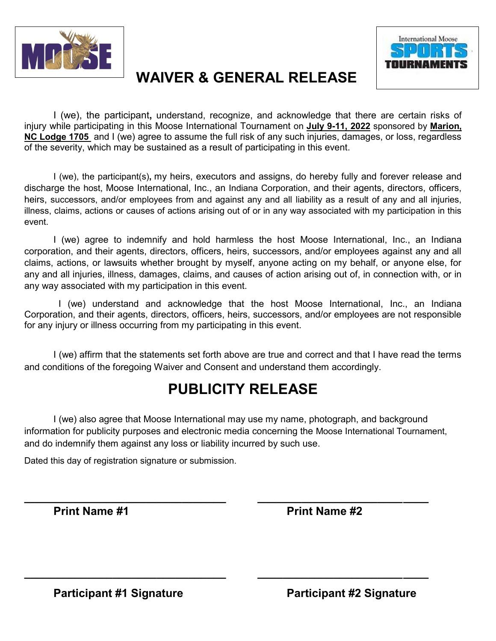



# **WAIVER & GENERAL RELEASE**

I (we), the participant**,** understand, recognize, and acknowledge that there are certain risks of injury while participating in this Moose International Tournament on **July 9-11, 2022** sponsored by **Marion, NC Lodge 1705** and I (we) agree to assume the full risk of any such injuries, damages, or loss, regardless of the severity, which may be sustained as a result of participating in this event.

I (we), the participant(s)**,** my heirs, executors and assigns, do hereby fully and forever release and discharge the host, Moose International, Inc., an Indiana Corporation, and their agents, directors, officers, heirs, successors, and/or employees from and against any and all liability as a result of any and all injuries, illness, claims, actions or causes of actions arising out of or in any way associated with my participation in this event.

I (we) agree to indemnify and hold harmless the host Moose International, Inc., an Indiana corporation, and their agents, directors, officers, heirs, successors, and/or employees against any and all claims, actions, or lawsuits whether brought by myself, anyone acting on my behalf, or anyone else, for any and all injuries, illness, damages, claims, and causes of action arising out of, in connection with, or in any way associated with my participation in this event.

 I (we) understand and acknowledge that the host Moose International, Inc., an Indiana Corporation, and their agents, directors, officers, heirs, successors, and/or employees are not responsible for any injury or illness occurring from my participating in this event.

I (we) affirm that the statements set forth above are true and correct and that I have read the terms and conditions of the foregoing Waiver and Consent and understand them accordingly.

# **PUBLICITY RELEASE**

I (we) also agree that Moose International may use my name, photograph, and background information for publicity purposes and electronic media concerning the Moose International Tournament, and do indemnify them against any loss or liability incurred by such use.

**\_\_\_\_\_\_\_\_\_\_\_\_\_\_\_\_\_\_\_\_\_\_\_\_\_\_\_\_\_\_\_\_ \_\_\_\_\_\_\_\_\_\_\_\_\_\_\_\_\_\_\_\_\_\_\_\_\_\_\_**

**\_\_\_\_\_\_\_\_\_\_\_\_\_\_\_\_\_\_\_\_\_\_\_\_\_\_\_\_\_\_\_\_ \_\_\_\_\_\_\_\_\_\_\_\_\_\_\_\_\_\_\_\_\_\_\_\_\_\_\_**

Dated this day of registration signature or submission.

**Print Name #1** Print Name #2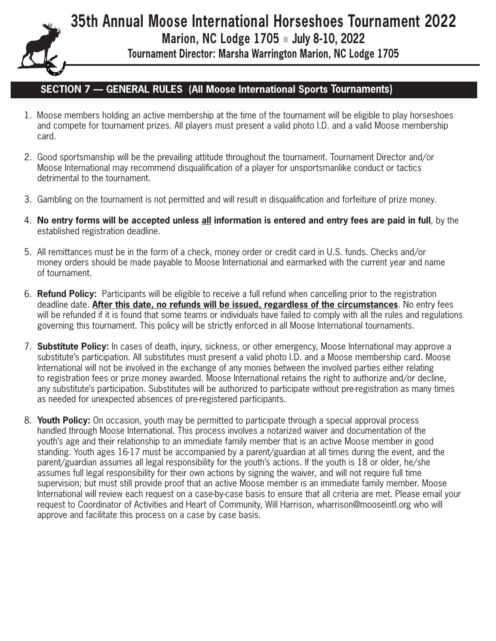**Marion, NC Lodge 1705** n **July 8-10, 2022**

**Tournament Director: Marsha Warrington Marion, NC Lodge 1705** 

### **SECTION 7 — GENERAL RULES (All Moose International Sports Tournaments)**

- 1. Moose members holding an active membership at the time of the tournament will be eligible to play horseshoes and compete for tournament prizes. All players must present a valid photo I.D. and a valid Moose membership card.
- 2. Good sportsmanship will be the prevailing attitude throughout the tournament. Tournament Director and/or Moose International may recommend disqualification of a player for unsportsmanlike conduct or tactics detrimental to the tournament.
- 3. Gambling on the tournament is not permitted and will result in disqualification and forfeiture of prize money.
- 4. **No entry forms will be accepted unless all information is entered and entry fees are paid in full**, by the established registration deadline.
- 5. All remittances must be in the form of a check, money order or credit card in U.S. funds. Checks and/or money orders should be made payable to Moose International and earmarked with the current year and name of tournament.
- 6. **Refund Policy:** Participants will be eligible to receive a full refund when cancelling prior to the registration deadline date. **After this date, no refunds will be issued, regardless of the circumstances**. No entry fees will be refunded if it is found that some teams or individuals have failed to comply with all the rules and regulations governing this tournament. This policy will be strictly enforced in all Moose International tournaments.
- 7. **Substitute Policy:** In cases of death, injury, sickness, or other emergency, Moose International may approve a substitute's participation. All substitutes must present a valid photo I.D. and a Moose membership card. Moose International will not be involved in the exchange of any monies between the involved parties either relating to registration fees or prize money awarded. Moose International retains the right to authorize and/or decline, any substitute's participation. Substitutes will be authorized to participate without pre-registration as many times as needed for unexpected absences of pre-registered participants.
- 8. **Youth Policy:** On occasion, youth may be permitted to participate through a special approval process handled through Moose International. This process involves a notarized waiver and documentation of the youth's age and their relationship to an immediate family member that is an active Moose member in good standing. Youth ages 16-17 must be accompanied by a parent/guardian at all times during the event, and the parent/guardian assumes all legal responsibility for the youth's actions. If the youth is 18 or older, he/she assumes full legal responsibility for their own actions by signing the waiver, and will not require full time supervision; but must still provide proof that an active Moose member is an immediate family member. Moose International will review each request on a case-by-case basis to ensure that all criteria are met. Please email your request to Coordinator of Activities and Heart of Community, Will Harrison, wharrison@mooseintl.org who will approve and facilitate this process on a case by case basis.